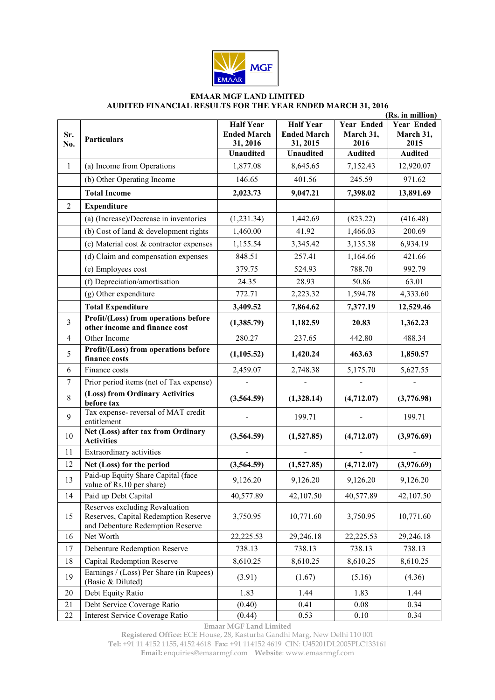

## **EMAAR MGF LAND LIMITED AUDITED FINANCIAL RESULTS FOR THE YEAR ENDED MARCH 31, 2016**

|                         |                                                                                                            | (Rs. in million)                                   |                                                    |                                        |                                        |
|-------------------------|------------------------------------------------------------------------------------------------------------|----------------------------------------------------|----------------------------------------------------|----------------------------------------|----------------------------------------|
| Sr.<br>No.              | <b>Particulars</b>                                                                                         | <b>Half Year</b><br><b>Ended March</b><br>31, 2016 | <b>Half Year</b><br><b>Ended March</b><br>31, 2015 | <b>Year Ended</b><br>March 31,<br>2016 | <b>Year Ended</b><br>March 31,<br>2015 |
|                         |                                                                                                            | <b>Unaudited</b>                                   | <b>Unaudited</b>                                   | <b>Audited</b>                         | <b>Audited</b>                         |
| $\mathbf{1}$            | (a) Income from Operations                                                                                 | 1,877.08                                           | 8,645.65                                           | 7,152.43                               | 12,920.07                              |
|                         | (b) Other Operating Income                                                                                 | 146.65                                             | 401.56                                             | 245.59                                 | 971.62                                 |
|                         | <b>Total Income</b>                                                                                        | 2,023.73                                           | 9,047.21                                           | 7,398.02                               | 13,891.69                              |
| $\overline{2}$          | <b>Expenditure</b>                                                                                         |                                                    |                                                    |                                        |                                        |
|                         | (a) (Increase)/Decrease in inventories                                                                     | (1, 231.34)                                        | 1,442.69                                           | (823.22)                               | (416.48)                               |
|                         | (b) Cost of land $&$ development rights                                                                    | 1,460.00                                           | 41.92                                              | 1,466.03                               | 200.69                                 |
|                         | (c) Material cost & contractor expenses                                                                    | 1,155.54                                           | 3,345.42                                           | 3,135.38                               | 6,934.19                               |
|                         | (d) Claim and compensation expenses                                                                        | 848.51                                             | 257.41                                             | 1,164.66                               | 421.66                                 |
|                         | (e) Employees cost                                                                                         | 379.75                                             | 524.93                                             | 788.70                                 | 992.79                                 |
|                         | (f) Depreciation/amortisation                                                                              | 24.35                                              | 28.93                                              | 50.86                                  | 63.01                                  |
|                         | (g) Other expenditure                                                                                      | 772.71                                             | 2,223.32                                           | 1,594.78                               | 4,333.60                               |
|                         | <b>Total Expenditure</b>                                                                                   | 3,409.52                                           | 7,864.62                                           | 7,377.19                               | 12,529.46                              |
| $\overline{\mathbf{3}}$ | Profit/(Loss) from operations before<br>other income and finance cost                                      | (1,385.79)                                         | 1,182.59                                           | 20.83                                  | 1,362.23                               |
| 4                       | Other Income                                                                                               | 280.27                                             | 237.65                                             | 442.80                                 | 488.34                                 |
| 5                       | Profit/(Loss) from operations before<br>finance costs                                                      | (1,105.52)                                         | 1,420.24                                           | 463.63                                 | 1,850.57                               |
| 6                       | Finance costs                                                                                              | 2,459.07                                           | 2,748.38                                           | 5,175.70                               | 5,627.55                               |
| 7                       | Prior period items (net of Tax expense)                                                                    |                                                    |                                                    |                                        |                                        |
| 8                       | (Loss) from Ordinary Activities<br>before tax                                                              | (3,564.59)                                         | (1,328.14)                                         | (4,712.07)                             | (3,776.98)                             |
| 9                       | Tax expense-reversal of MAT credit<br>entitlement                                                          |                                                    | 199.71                                             |                                        | 199.71                                 |
| 10                      | Net (Loss) after tax from Ordinary<br><b>Activities</b>                                                    | (3,564.59)                                         | (1,527.85)                                         | (4,712.07)                             | (3,976.69)                             |
| 11                      | Extraordinary activities                                                                                   |                                                    |                                                    |                                        |                                        |
| 12                      | Net (Loss) for the period                                                                                  | (3,564.59)                                         | (1,527.85)                                         | (4,712.07)                             | (3,976.69)                             |
| 13                      | Paid-up Equity Share Capital (face<br>value of Rs.10 per share)                                            | 9,126.20                                           | 9,126.20                                           | 9,126.20                               | 9,126.20                               |
| 14                      | Paid up Debt Capital                                                                                       | 40,577.89                                          | 42,107.50                                          | 40,577.89                              | 42,107.50                              |
| 15                      | Reserves excluding Revaluation<br>Reserves, Capital Redemption Reserve<br>and Debenture Redemption Reserve | 3,750.95                                           | 10,771.60                                          | 3,750.95                               | 10,771.60                              |
| 16                      | Net Worth                                                                                                  | 22,225.53                                          | 29,246.18                                          | 22,225.53                              | 29,246.18                              |
| 17                      | Debenture Redemption Reserve                                                                               | 738.13                                             | 738.13                                             | 738.13                                 | 738.13                                 |
| 18                      | Capital Redemption Reserve                                                                                 | 8,610.25                                           | 8,610.25                                           | 8,610.25                               | 8,610.25                               |
| 19                      | Earnings / (Loss) Per Share (in Rupees)<br>(Basic & Diluted)                                               | (3.91)                                             | (1.67)                                             | (5.16)                                 | (4.36)                                 |
| 20                      | Debt Equity Ratio                                                                                          | 1.83                                               | 1.44                                               | 1.83                                   | 1.44                                   |
| 21                      | Debt Service Coverage Ratio                                                                                | (0.40)                                             | 0.41                                               | 0.08                                   | 0.34                                   |
| $22\,$                  | Interest Service Coverage Ratio                                                                            | (0.44)                                             | 0.53                                               | 0.10                                   | 0.34                                   |

**Emaar MGF Land Limited** 

**Registered Office:** ECE House, 28, Kasturba Gandhi Marg, New Delhi 110 001

**Tel:** +91 11 4152 1155, 4152 4618 **Fax:** +91 114152 4619 CIN: U45201DL2005PLC133161

**Email:** enquiries@emaarmgf.com **Website**: www.emaarmgf.com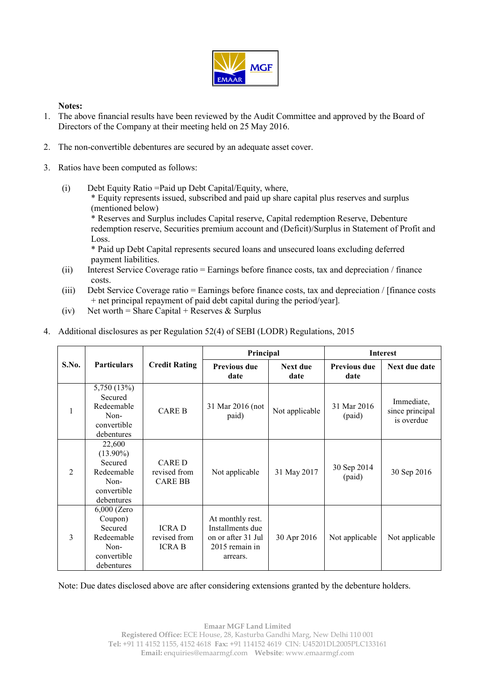

## **Notes:**

- 1. The above financial results have been reviewed by the Audit Committee and approved by the Board of Directors of the Company at their meeting held on 25 May 2016.
- 2. The non-convertible debentures are secured by an adequate asset cover.
- 3. Ratios have been computed as follows:
	- (i) Debt Equity Ratio =Paid up Debt Capital/Equity, where,

\* Equity represents issued, subscribed and paid up share capital plus reserves and surplus (mentioned below)

\* Reserves and Surplus includes Capital reserve, Capital redemption Reserve, Debenture redemption reserve, Securities premium account and (Deficit)/Surplus in Statement of Profit and Loss.

\* Paid up Debt Capital represents secured loans and unsecured loans excluding deferred payment liabilities.

- (ii) Interest Service Coverage ratio = Earnings before finance costs, tax and depreciation / finance costs.
- (iii) Debt Service Coverage ratio = Earnings before finance costs, tax and depreciation / [finance costs + net principal repayment of paid debt capital during the period/year].
- (iv) Net worth = Share Capital + Reserves  $\&$  Surplus
- 4. Additional disclosures as per Regulation 52(4) of SEBI (LODR) Regulations, 2015

| S.No.          | <b>Particulars</b>                                                                     | <b>Credit Rating</b>                           | Principal                                                                                |                         | <b>Interest</b>             |                                             |
|----------------|----------------------------------------------------------------------------------------|------------------------------------------------|------------------------------------------------------------------------------------------|-------------------------|-----------------------------|---------------------------------------------|
|                |                                                                                        |                                                | <b>Previous due</b><br>date                                                              | <b>Next due</b><br>date | <b>Previous due</b><br>date | Next due date                               |
| 1              | 5,750 (13%)<br>Secured<br>Redeemable<br>Non-<br>convertible<br>debentures              | <b>CARE B</b>                                  | 31 Mar 2016 (not<br>paid)                                                                | Not applicable          | 31 Mar 2016<br>(paid)       | Immediate,<br>since principal<br>is overdue |
| $\overline{2}$ | 22,600<br>$(13.90\%)$<br>Secured<br>Redeemable<br>Non-<br>convertible<br>debentures    | <b>CARED</b><br>revised from<br><b>CARE BB</b> | Not applicable                                                                           | 31 May 2017             | 30 Sep 2014<br>(paid)       | 30 Sep 2016                                 |
| 3              | $6,000$ (Zero<br>Coupon)<br>Secured<br>Redeemable<br>Non-<br>convertible<br>debentures | <b>ICRAD</b><br>revised from<br><b>ICRA B</b>  | At monthly rest.<br>Installments due<br>on or after 31 Jul<br>2015 remain in<br>arrears. | 30 Apr 2016             | Not applicable              | Not applicable                              |

Note: Due dates disclosed above are after considering extensions granted by the debenture holders.

**Emaar MGF Land Limited Registered Office:** ECE House, 28, Kasturba Gandhi Marg, New Delhi 110 001 **Tel:** +91 11 4152 1155, 4152 4618 **Fax:** +91 114152 4619 CIN: U45201DL2005PLC133161 **Email:** enquiries@emaarmgf.com **Website**: www.emaarmgf.com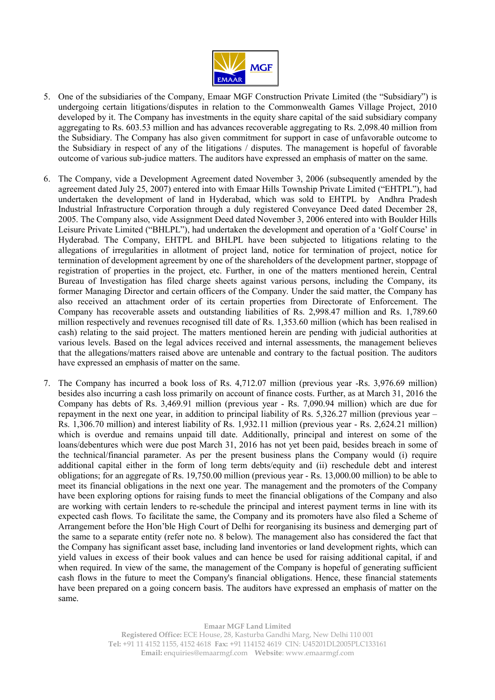

- 5. One of the subsidiaries of the Company, Emaar MGF Construction Private Limited (the "Subsidiary") is undergoing certain litigations/disputes in relation to the Commonwealth Games Village Project, 2010 developed by it. The Company has investments in the equity share capital of the said subsidiary company aggregating to Rs. 603.53 million and has advances recoverable aggregating to Rs. 2,098.40 million from the Subsidiary. The Company has also given commitment for support in case of unfavorable outcome to the Subsidiary in respect of any of the litigations / disputes. The management is hopeful of favorable outcome of various sub-judice matters. The auditors have expressed an emphasis of matter on the same.
- 6. The Company, vide a Development Agreement dated November 3, 2006 (subsequently amended by the agreement dated July 25, 2007) entered into with Emaar Hills Township Private Limited ("EHTPL"), had undertaken the development of land in Hyderabad, which was sold to EHTPL by Andhra Pradesh Industrial Infrastructure Corporation through a duly registered Conveyance Deed dated December 28, 2005. The Company also, vide Assignment Deed dated November 3, 2006 entered into with Boulder Hills Leisure Private Limited ("BHLPL"), had undertaken the development and operation of a 'Golf Course' in Hyderabad. The Company, EHTPL and BHLPL have been subjected to litigations relating to the allegations of irregularities in allotment of project land, notice for termination of project, notice for termination of development agreement by one of the shareholders of the development partner, stoppage of registration of properties in the project, etc. Further, in one of the matters mentioned herein, Central Bureau of Investigation has filed charge sheets against various persons, including the Company, its former Managing Director and certain officers of the Company. Under the said matter, the Company has also received an attachment order of its certain properties from Directorate of Enforcement. The Company has recoverable assets and outstanding liabilities of Rs. 2,998.47 million and Rs. 1,789.60 million respectively and revenues recognised till date of Rs. 1,353.60 million (which has been realised in cash) relating to the said project. The matters mentioned herein are pending with judicial authorities at various levels. Based on the legal advices received and internal assessments, the management believes that the allegations/matters raised above are untenable and contrary to the factual position. The auditors have expressed an emphasis of matter on the same.
- 7. The Company has incurred a book loss of Rs. 4,712.07 million (previous year -Rs. 3,976.69 million) besides also incurring a cash loss primarily on account of finance costs. Further, as at March 31, 2016 the Company has debts of Rs. 3,469.91 million (previous year - Rs. 7,090.94 million) which are due for repayment in the next one year, in addition to principal liability of Rs. 5,326.27 million (previous year – Rs. 1,306.70 million) and interest liability of Rs. 1,932.11 million (previous year - Rs. 2,624.21 million) which is overdue and remains unpaid till date. Additionally, principal and interest on some of the loans/debentures which were due post March 31, 2016 has not yet been paid, besides breach in some of the technical/financial parameter. As per the present business plans the Company would (i) require additional capital either in the form of long term debts/equity and (ii) reschedule debt and interest obligations; for an aggregate of Rs. 19,750.00 million (previous year - Rs. 13,000.00 million) to be able to meet its financial obligations in the next one year. The management and the promoters of the Company have been exploring options for raising funds to meet the financial obligations of the Company and also are working with certain lenders to re-schedule the principal and interest payment terms in line with its expected cash flows. To facilitate the same, the Company and its promoters have also filed a Scheme of Arrangement before the Hon'ble High Court of Delhi for reorganising its business and demerging part of the same to a separate entity (refer note no. 8 below). The management also has considered the fact that the Company has significant asset base, including land inventories or land development rights, which can yield values in excess of their book values and can hence be used for raising additional capital, if and when required. In view of the same, the management of the Company is hopeful of generating sufficient cash flows in the future to meet the Company's financial obligations. Hence, these financial statements have been prepared on a going concern basis. The auditors have expressed an emphasis of matter on the same.